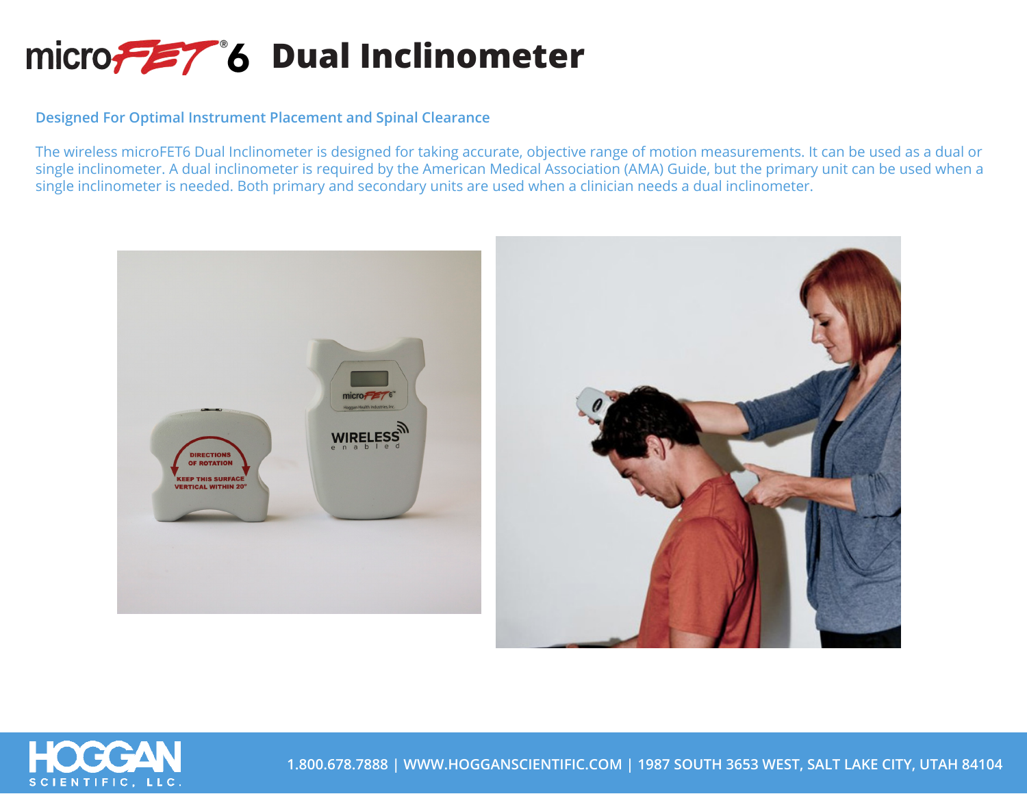## micro<sub>7</sub><sup>2</sup>/<sup>8</sup>6 Dual Inclinometer

**Designed For Optimal Instrument Placement and Spinal Clearance**

The wireless microFET6 Dual Inclinometer is designed for taking accurate, objective range of motion measurements. It can be used as a dual or single inclinometer. A dual inclinometer is required by the American Medical Association (AMA) Guide, but the primary unit can be used when a single inclinometer is needed. Both primary and secondary units are used when a clinician needs a dual inclinometer.





**1.800.678.7888 | WWW.HOGGANSCIENTIFIC.COM | 1987 SOUTH 3653 WEST, SALT LAKE CITY, UTAH 84104**